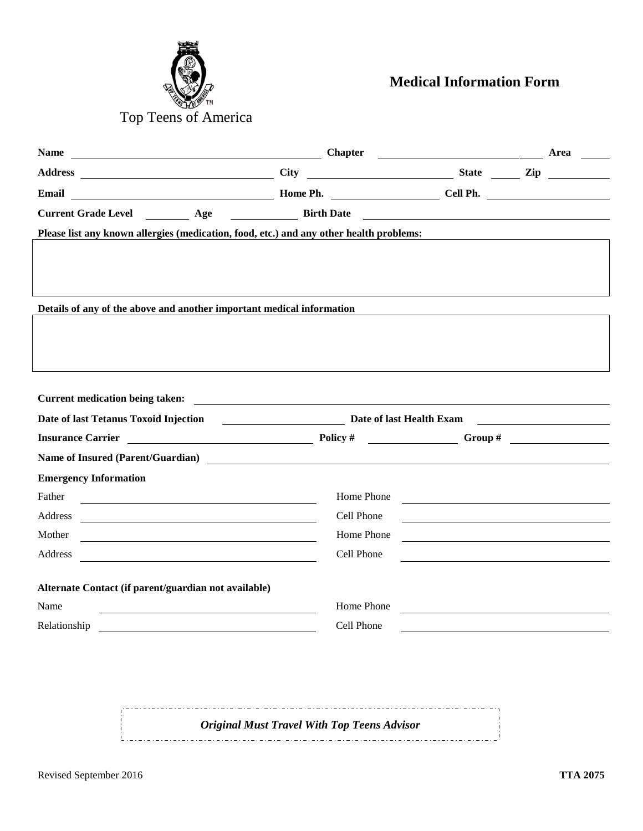

**Medical Information Form**

| <b>Name</b><br><b>Chapter</b> Chapter                                                                                                                                                                                                           |                                                                                                                       | <b>Area</b>                                                                                                                                                                                                                                                                                                           |  |  |
|-------------------------------------------------------------------------------------------------------------------------------------------------------------------------------------------------------------------------------------------------|-----------------------------------------------------------------------------------------------------------------------|-----------------------------------------------------------------------------------------------------------------------------------------------------------------------------------------------------------------------------------------------------------------------------------------------------------------------|--|--|
| Address City                                                                                                                                                                                                                                    |                                                                                                                       | $\frac{1}{2}$ State $\frac{1}{2}$ $\frac{1}{2}$ $\frac{1}{2}$ $\frac{1}{2}$ $\frac{1}{2}$ $\frac{1}{2}$ $\frac{1}{2}$ $\frac{1}{2}$ $\frac{1}{2}$ $\frac{1}{2}$ $\frac{1}{2}$ $\frac{1}{2}$ $\frac{1}{2}$ $\frac{1}{2}$ $\frac{1}{2}$ $\frac{1}{2}$ $\frac{1}{2}$ $\frac{1}{2}$ $\frac{1}{2}$ $\frac{1}{2}$ $\frac{1$ |  |  |
| Example 2018 The Ph. The Cell Ph. Cell Ph.<br>Email                                                                                                                                                                                             |                                                                                                                       |                                                                                                                                                                                                                                                                                                                       |  |  |
| Current Grade Level __________ Age ___________________ Birth Date __________________________________                                                                                                                                            |                                                                                                                       |                                                                                                                                                                                                                                                                                                                       |  |  |
| Please list any known allergies (medication, food, etc.) and any other health problems:                                                                                                                                                         |                                                                                                                       |                                                                                                                                                                                                                                                                                                                       |  |  |
|                                                                                                                                                                                                                                                 |                                                                                                                       |                                                                                                                                                                                                                                                                                                                       |  |  |
|                                                                                                                                                                                                                                                 |                                                                                                                       |                                                                                                                                                                                                                                                                                                                       |  |  |
|                                                                                                                                                                                                                                                 |                                                                                                                       |                                                                                                                                                                                                                                                                                                                       |  |  |
| Details of any of the above and another important medical information                                                                                                                                                                           |                                                                                                                       |                                                                                                                                                                                                                                                                                                                       |  |  |
|                                                                                                                                                                                                                                                 |                                                                                                                       |                                                                                                                                                                                                                                                                                                                       |  |  |
|                                                                                                                                                                                                                                                 |                                                                                                                       |                                                                                                                                                                                                                                                                                                                       |  |  |
|                                                                                                                                                                                                                                                 |                                                                                                                       |                                                                                                                                                                                                                                                                                                                       |  |  |
| <b>Current medication being taken:</b>                                                                                                                                                                                                          | <u> 1989 - Johann Stein, mars and de Branch and de Branch and de Branch and de Branch and de Branch and de Branch</u> |                                                                                                                                                                                                                                                                                                                       |  |  |
| Date of last Tetanus Toxoid Injection                                                                                                                                                                                                           | Date of last Health Exam                                                                                              |                                                                                                                                                                                                                                                                                                                       |  |  |
|                                                                                                                                                                                                                                                 |                                                                                                                       |                                                                                                                                                                                                                                                                                                                       |  |  |
| Name of Insured (Parent/Guardian)                                                                                                                                                                                                               |                                                                                                                       |                                                                                                                                                                                                                                                                                                                       |  |  |
| <b>Emergency Information</b>                                                                                                                                                                                                                    |                                                                                                                       |                                                                                                                                                                                                                                                                                                                       |  |  |
| Father                                                                                                                                                                                                                                          | Home Phone                                                                                                            | <u> 1989 - Johann John Stein, markin fan it fjort fan it fjort fan it fjort fan it fjort fan it fjort fan it fjort fan it fjort fan it fjort fan it fjort fan it fjort fan it fjort fan it fjort fan it fjort fan it fjort fan i</u>                                                                                  |  |  |
| Address<br><u> 1989 - Johann Harry Harry Harry Harry Harry Harry Harry Harry Harry Harry Harry Harry Harry Harry Harry Harry Harry Harry Harry Harry Harry Harry Harry Harry Harry Harry Harry Harry Harry Harry Harry Harry Harry Harry Ha</u> | Cell Phone                                                                                                            |                                                                                                                                                                                                                                                                                                                       |  |  |
| Mother<br><u> 1989 - Johann John Stein, markin fan it ferstjer fan it ferstjer fan it ferstjer fan it ferstjer fan it fers</u>                                                                                                                  | Home Phone                                                                                                            |                                                                                                                                                                                                                                                                                                                       |  |  |
| Address<br><u> 1989 - Johann Barbara, martin amerikan basal dan berasal dan berasal dalam basal dalam basal dalam basal dala</u>                                                                                                                | Cell Phone                                                                                                            |                                                                                                                                                                                                                                                                                                                       |  |  |
|                                                                                                                                                                                                                                                 |                                                                                                                       |                                                                                                                                                                                                                                                                                                                       |  |  |
| Alternate Contact (if parent/guardian not available)                                                                                                                                                                                            | Home Phone                                                                                                            |                                                                                                                                                                                                                                                                                                                       |  |  |
| Name                                                                                                                                                                                                                                            |                                                                                                                       |                                                                                                                                                                                                                                                                                                                       |  |  |
| Relationship                                                                                                                                                                                                                                    | Cell Phone                                                                                                            |                                                                                                                                                                                                                                                                                                                       |  |  |
|                                                                                                                                                                                                                                                 |                                                                                                                       |                                                                                                                                                                                                                                                                                                                       |  |  |

*Original Must Travel With Top Teens Advisor*